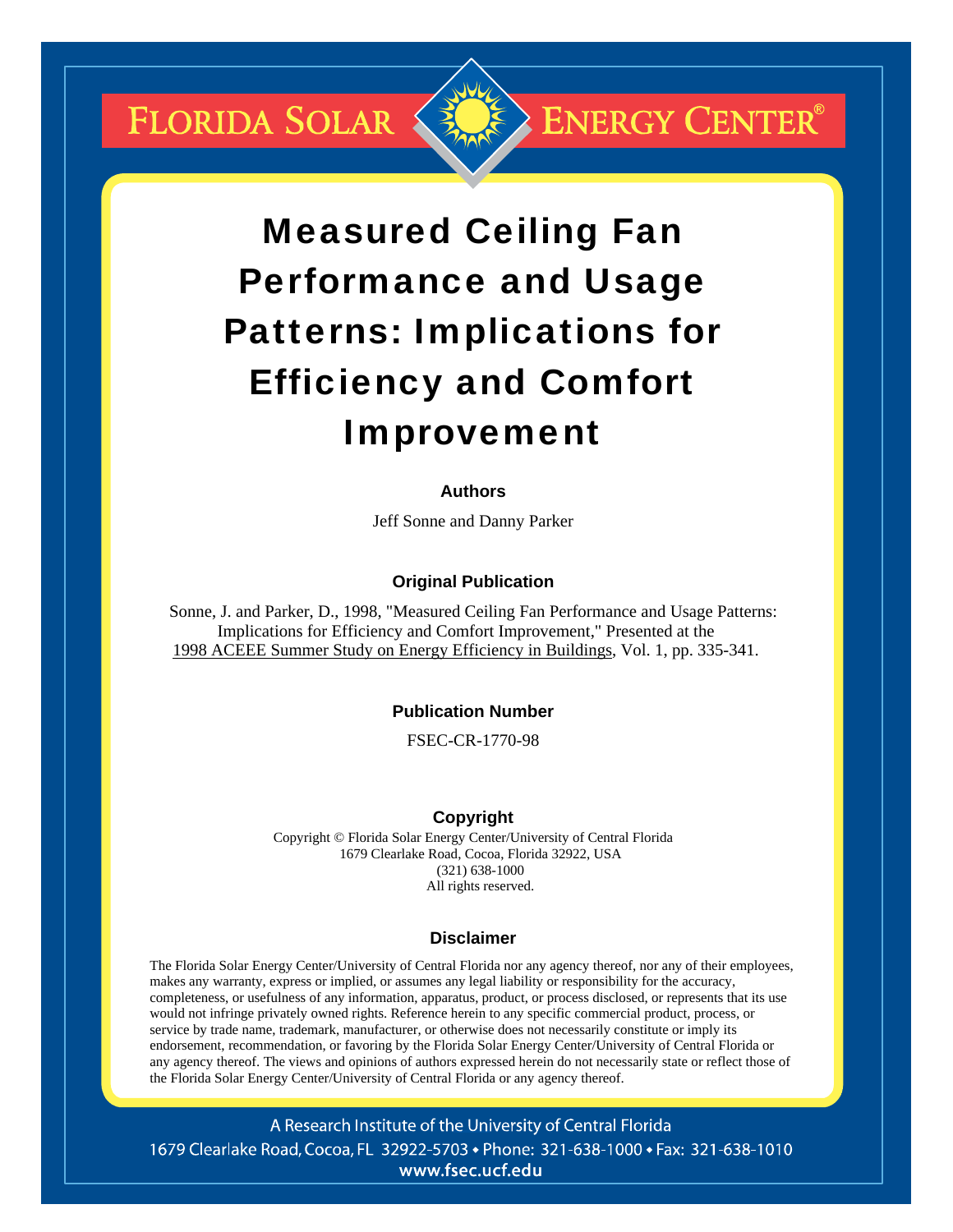**FLORIDA SOLAR &** 



# Measured Ceiling Fan Performance and Usage Patterns: Implications for Efficiency and Comfort Improvement

## **Authors**

Jeff Sonne and Danny Parker

## **Original Publication**

Sonne, J. and Parker, D., 1998, "Measured Ceiling Fan Performance and Usage Patterns: Implications for Efficiency and Comfort Improvement," Presented at the 1998 ACEEE Summer Study on Energy Efficiency in Buildings, Vol. 1, pp. 335-341.

#### **Publication Number**

FSEC-CR-1770-98

#### **Copyright**

Copyright © Florida Solar Energy Center/University of Central Florida 1679 Clearlake Road, Cocoa, Florida 32922, USA (321) 638-1000 All rights reserved.

#### **Disclaimer**

The Florida Solar Energy Center/University of Central Florida nor any agency thereof, nor any of their employees, makes any warranty, express or implied, or assumes any legal liability or responsibility for the accuracy, completeness, or usefulness of any information, apparatus, product, or process disclosed, or represents that its use would not infringe privately owned rights. Reference herein to any specific commercial product, process, or service by trade name, trademark, manufacturer, or otherwise does not necessarily constitute or imply its endorsement, recommendation, or favoring by the Florida Solar Energy Center/University of Central Florida or any agency thereof. The views and opinions of authors expressed herein do not necessarily state or reflect those of the Florida Solar Energy Center/University of Central Florida or any agency thereof.

A Research Institute of the University of Central Florida 1679 Clearlake Road, Cocoa, FL 32922-5703 • Phone: 321-638-1000 • Fax: 321-638-1010 www.fsec.ucf.edu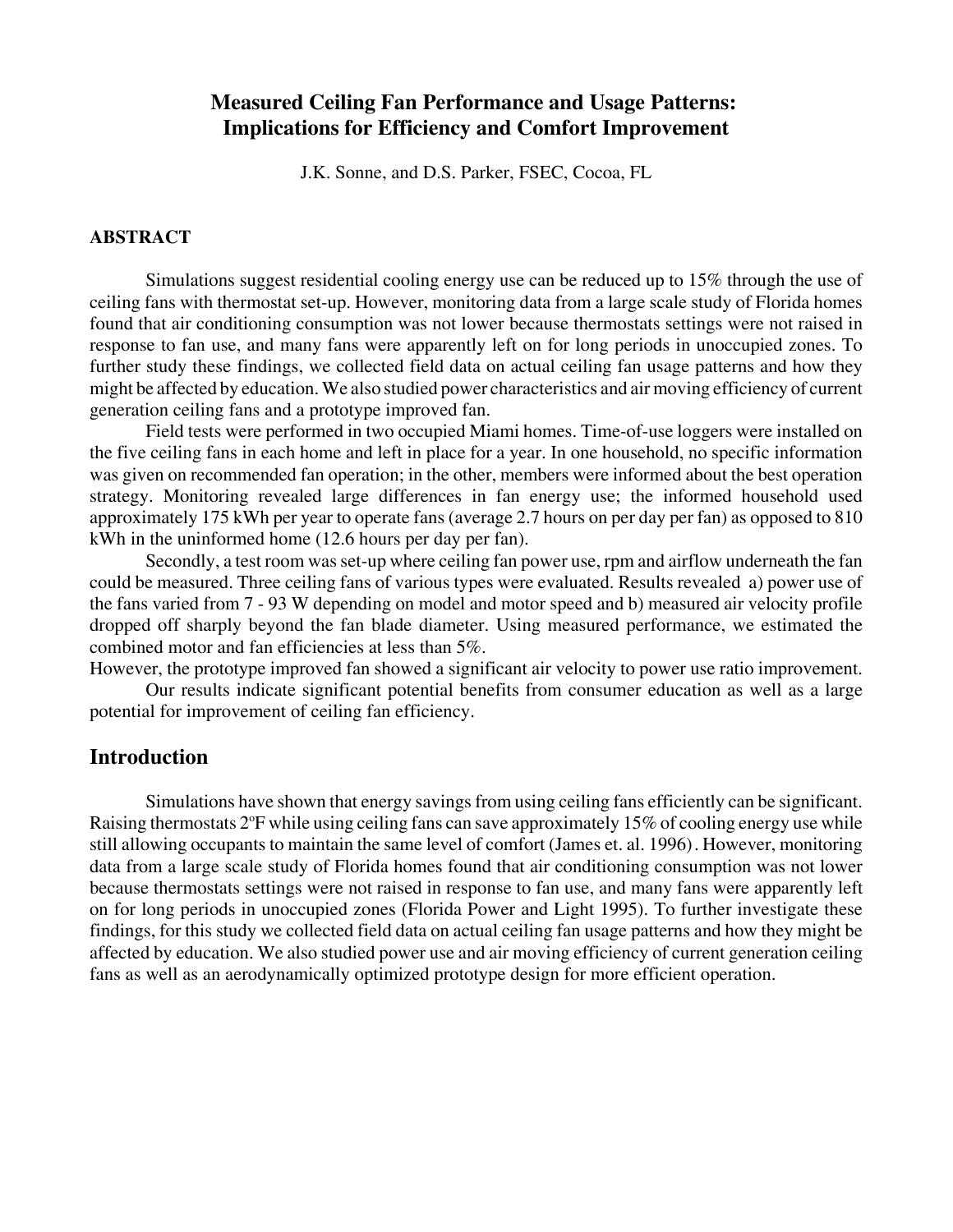# **Measured Ceiling Fan Performance and Usage Patterns: Implications for Efficiency and Comfort Improvement**

J.K. Sonne, and D.S. Parker, FSEC, Cocoa, FL

## **ABSTRACT**

Simulations suggest residential cooling energy use can be reduced up to 15% through the use of ceiling fans with thermostat set-up. However, monitoring data from a large scale study of Florida homes found that air conditioning consumption was not lower because thermostats settings were not raised in response to fan use, and many fans were apparently left on for long periods in unoccupied zones. To further study these findings, we collected field data on actual ceiling fan usage patterns and how they might be affected by education. We also studied power characteristics and air moving efficiency of current generation ceiling fans and a prototype improved fan.

Field tests were performed in two occupied Miami homes. Time-of-use loggers were installed on the five ceiling fans in each home and left in place for a year. In one household, no specific information was given on recommended fan operation; in the other, members were informed about the best operation strategy. Monitoring revealed large differences in fan energy use; the informed household used approximately 175 kWh per year to operate fans (average 2.7 hours on per day per fan) as opposed to 810 kWh in the uninformed home (12.6 hours per day per fan).

Secondly, a test room was set-up where ceiling fan power use, rpm and airflow underneath the fan could be measured. Three ceiling fans of various types were evaluated. Results revealed a) power use of the fans varied from 7 - 93 W depending on model and motor speed and b) measured air velocity profile dropped off sharply beyond the fan blade diameter. Using measured performance, we estimated the combined motor and fan efficiencies at less than 5%.

However, the prototype improved fan showed a significant air velocity to power use ratio improvement.

Our results indicate significant potential benefits from consumer education as well as a large potential for improvement of ceiling fan efficiency.

# **Introduction**

Simulations have shown that energy savings from using ceiling fans efficiently can be significant. Raising thermostats 2°F while using ceiling fans can save approximately 15% of cooling energy use while still allowing occupants to maintain the same level of comfort (James et. al. 1996). However, monitoring data from a large scale study of Florida homes found that air conditioning consumption was not lower because thermostats settings were not raised in response to fan use, and many fans were apparently left on for long periods in unoccupied zones (Florida Power and Light 1995). To further investigate these findings, for this study we collected field data on actual ceiling fan usage patterns and how they might be affected by education. We also studied power use and air moving efficiency of current generation ceiling fans as well as an aerodynamically optimized prototype design for more efficient operation.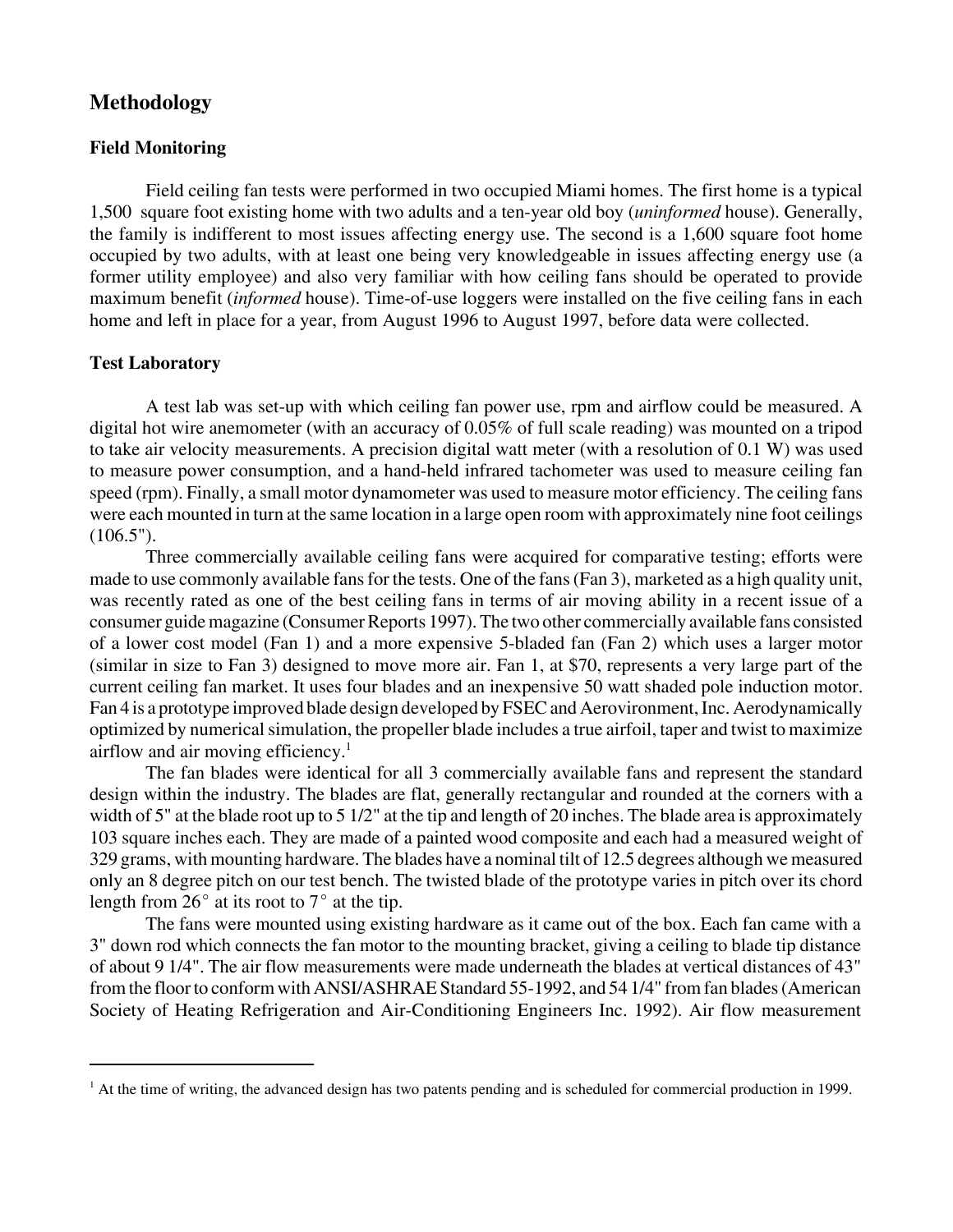# **Methodology**

## **Field Monitoring**

Field ceiling fan tests were performed in two occupied Miami homes. The first home is a typical 1,500 square foot existing home with two adults and a ten-year old boy (*uninformed* house). Generally, the family is indifferent to most issues affecting energy use. The second is a 1,600 square foot home occupied by two adults, with at least one being very knowledgeable in issues affecting energy use (a former utility employee) and also very familiar with how ceiling fans should be operated to provide maximum benefit (*informed* house). Time-of-use loggers were installed on the five ceiling fans in each home and left in place for a year, from August 1996 to August 1997, before data were collected.

## **Test Laboratory**

A test lab was set-up with which ceiling fan power use, rpm and airflow could be measured. A digital hot wire anemometer (with an accuracy of 0.05% of full scale reading) was mounted on a tripod to take air velocity measurements. A precision digital watt meter (with a resolution of 0.1 W) was used to measure power consumption, and a hand-held infrared tachometer was used to measure ceiling fan speed (rpm). Finally, a small motor dynamometer was used to measure motor efficiency. The ceiling fans were each mounted in turn at the same location in a large open room with approximately nine foot ceilings  $(106.5")$ .

Three commercially available ceiling fans were acquired for comparative testing; efforts were made to use commonly available fans for the tests. One of the fans (Fan 3), marketed as a high quality unit, was recently rated as one of the best ceiling fans in terms of air moving ability in a recent issue of a consumer guide magazine (Consumer Reports 1997). The two other commercially available fans consisted of a lower cost model (Fan 1) and a more expensive 5-bladed fan (Fan 2) which uses a larger motor (similar in size to Fan 3) designed to move more air. Fan 1, at \$70, represents a very large part of the current ceiling fan market. It uses four blades and an inexpensive 50 watt shaded pole induction motor. Fan 4 is a prototype improved blade design developed by FSEC and Aerovironment, Inc. Aerodynamically optimized by numerical simulation, the propeller blade includes a true airfoil, taper and twist to maximize airflow and air moving efficiency.1

The fan blades were identical for all 3 commercially available fans and represent the standard design within the industry. The blades are flat, generally rectangular and rounded at the corners with a width of 5" at the blade root up to 5 1/2" at the tip and length of 20 inches. The blade area is approximately 103 square inches each. They are made of a painted wood composite and each had a measured weight of 329 grams, with mounting hardware. The blades have a nominal tilt of 12.5 degrees although we measured only an 8 degree pitch on our test bench. The twisted blade of the prototype varies in pitch over its chord length from  $26^{\circ}$  at its root to  $7^{\circ}$  at the tip.

The fans were mounted using existing hardware as it came out of the box. Each fan came with a 3" down rod which connects the fan motor to the mounting bracket, giving a ceiling to blade tip distance of about 9 1/4". The air flow measurements were made underneath the blades at vertical distances of 43" from the floor to conform with ANSI/ASHRAE Standard 55-1992, and 54 1/4" from fan blades (American Society of Heating Refrigeration and Air-Conditioning Engineers Inc. 1992). Air flow measurement

<sup>&</sup>lt;sup>1</sup> At the time of writing, the advanced design has two patents pending and is scheduled for commercial production in 1999.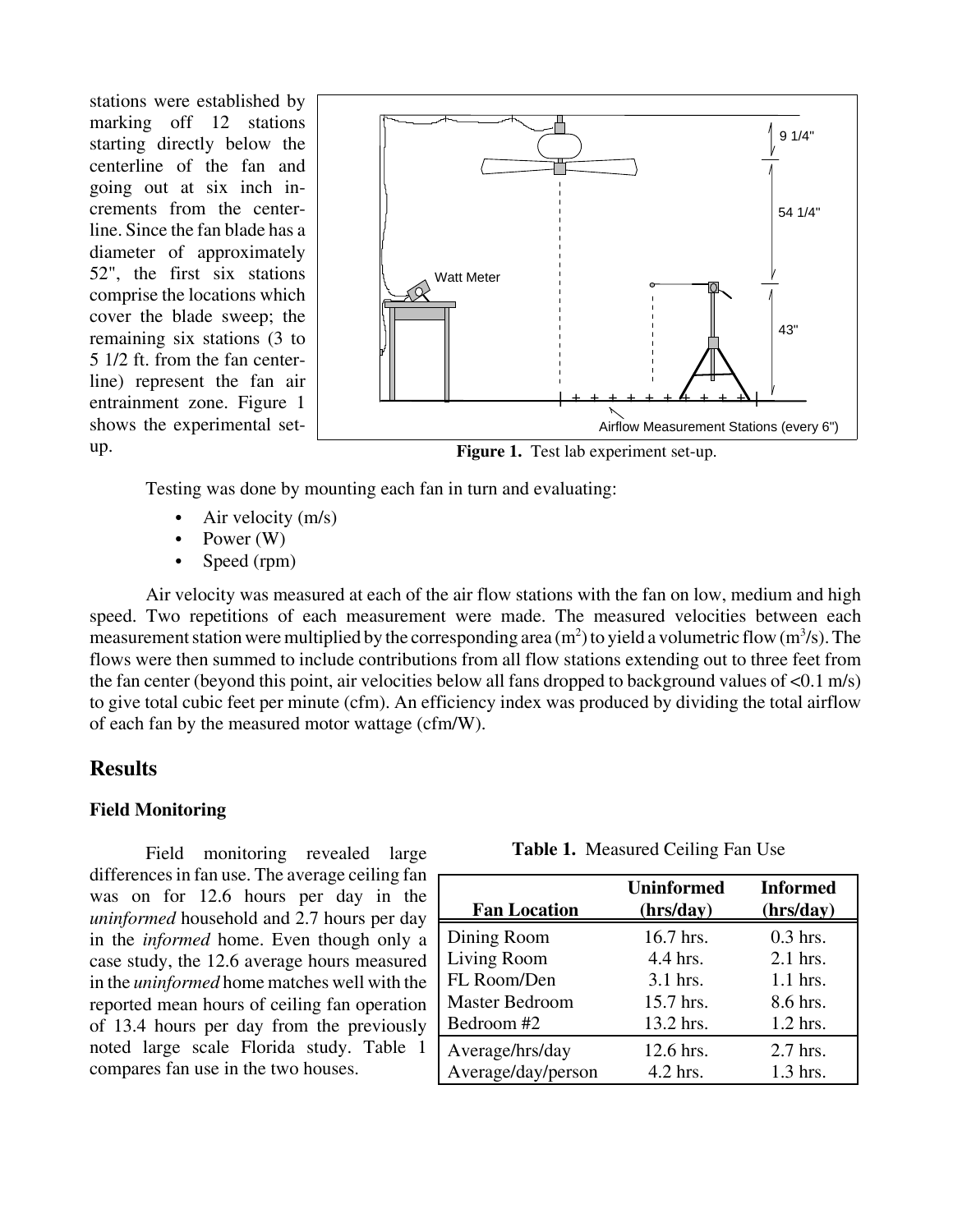stations were established by marking off 12 stations starting directly below the centerline of the fan and going out at six inch increments from the centerline. Since the fan blade has a diameter of approximately 52", the first six stations comprise the locations which cover the blade sweep; the remaining six stations (3 to 5 1/2 ft. from the fan centerline) represent the fan air entrainment zone. Figure 1 shows the experimental setup.



**Figure 1.** Test lab experiment set-up.

Testing was done by mounting each fan in turn and evaluating:

- Air velocity (m/s)
- Power  $(W)$
- Speed (rpm)

Air velocity was measured at each of the air flow stations with the fan on low, medium and high speed. Two repetitions of each measurement were made. The measured velocities between each measurement station were multiplied by the corresponding area  $(m^2)$  to yield a volumetric flow  $(m^3/s)$ . The flows were then summed to include contributions from all flow stations extending out to three feet from the fan center (beyond this point, air velocities below all fans dropped to background values of <0.1 m/s) to give total cubic feet per minute (cfm). An efficiency index was produced by dividing the total airflow of each fan by the measured motor wattage (cfm/W).

## **Results**

#### **Field Monitoring**

Field monitoring revealed large differences in fan use. The average ceiling fan was on for 12.6 hours per day in the *uninformed* household and 2.7 hours per day in the *informed* home. Even though only a case study, the 12.6 average hours measured in the *uninformed* home matches well with the reported mean hours of ceiling fan operation of 13.4 hours per day from the previously noted large scale Florida study. Table 1 compares fan use in the two houses.

| <b>Fan Location</b>   | <b>Uninformed</b><br>(hrs/day) | <b>Informed</b><br>(hrs/day) |
|-----------------------|--------------------------------|------------------------------|
| Dining Room           | 16.7 hrs.                      | $0.3$ hrs.                   |
| Living Room           | 4.4 hrs.                       | 2.1 hrs.                     |
| FL Room/Den           | $3.1$ hrs.                     | $1.1$ hrs.                   |
| <b>Master Bedroom</b> | 15.7 hrs.                      | 8.6 hrs.                     |
| Bedroom #2            | 13.2 hrs.                      | $1.2$ hrs.                   |
| Average/hrs/day       | 12.6 hrs.                      | 2.7 hrs.                     |
| Average/day/person    | 4.2 hrs.                       | 1.3 hrs.                     |

**Table 1.** Measured Ceiling Fan Use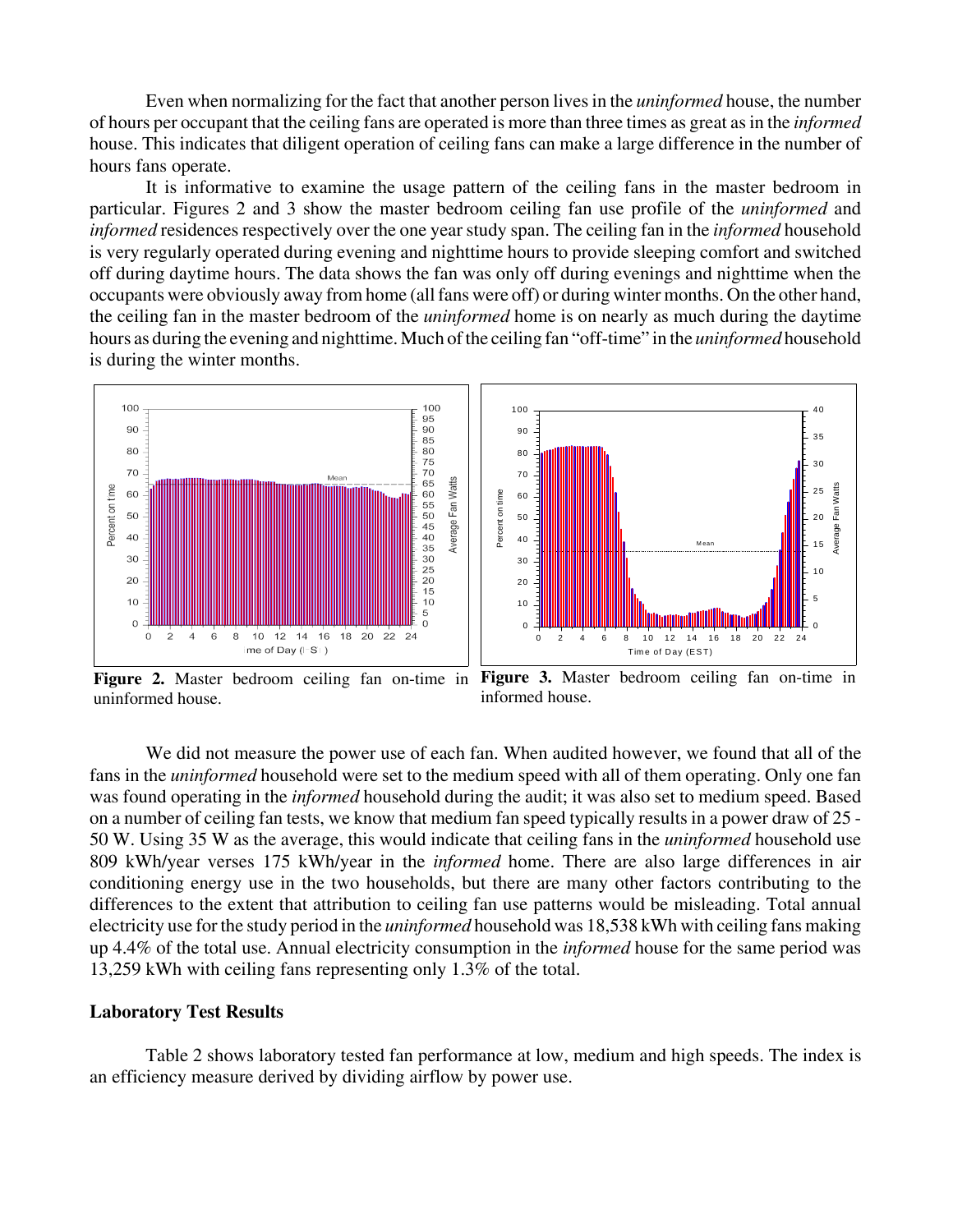Even when normalizing for the fact that another person lives in the *uninformed* house, the number of hours per occupant that the ceiling fans are operated is more than three times as great as in the *informed* house. This indicates that diligent operation of ceiling fans can make a large difference in the number of hours fans operate.

It is informative to examine the usage pattern of the ceiling fans in the master bedroom in particular. Figures 2 and 3 show the master bedroom ceiling fan use profile of the *uninformed* and *informed* residences respectively over the one year study span. The ceiling fan in the *informed* household is very regularly operated during evening and nighttime hours to provide sleeping comfort and switched off during daytime hours. The data shows the fan was only off during evenings and nighttime when the occupants were obviously away from home (all fans were off) or during winter months. On the other hand, the ceiling fan in the master bedroom of the *uninformed* home is on nearly as much during the daytime hours as during the evening and nighttime. Much of the ceiling fan "off-time" in the *uninformed* household is during the winter months.



**Figure 2.** Master bedroom ceiling fan on-time in **Figure 3.** Master bedroom ceiling fan on-time in uninformed house. informed house.

We did not measure the power use of each fan. When audited however, we found that all of the fans in the *uninformed* household were set to the medium speed with all of them operating. Only one fan was found operating in the *informed* household during the audit; it was also set to medium speed. Based on a number of ceiling fan tests, we know that medium fan speed typically results in a power draw of 25 - 50 W. Using 35 W as the average, this would indicate that ceiling fans in the *uninformed* household use 809 kWh/year verses 175 kWh/year in the *informed* home. There are also large differences in air conditioning energy use in the two households, but there are many other factors contributing to the differences to the extent that attribution to ceiling fan use patterns would be misleading. Total annual electricity use for the study period in the *uninformed* household was 18,538 kWh with ceiling fans making up 4.4% of the total use. Annual electricity consumption in the *informed* house for the same period was 13,259 kWh with ceiling fans representing only 1.3% of the total.

#### **Laboratory Test Results**

Table 2 shows laboratory tested fan performance at low, medium and high speeds. The index is an efficiency measure derived by dividing airflow by power use.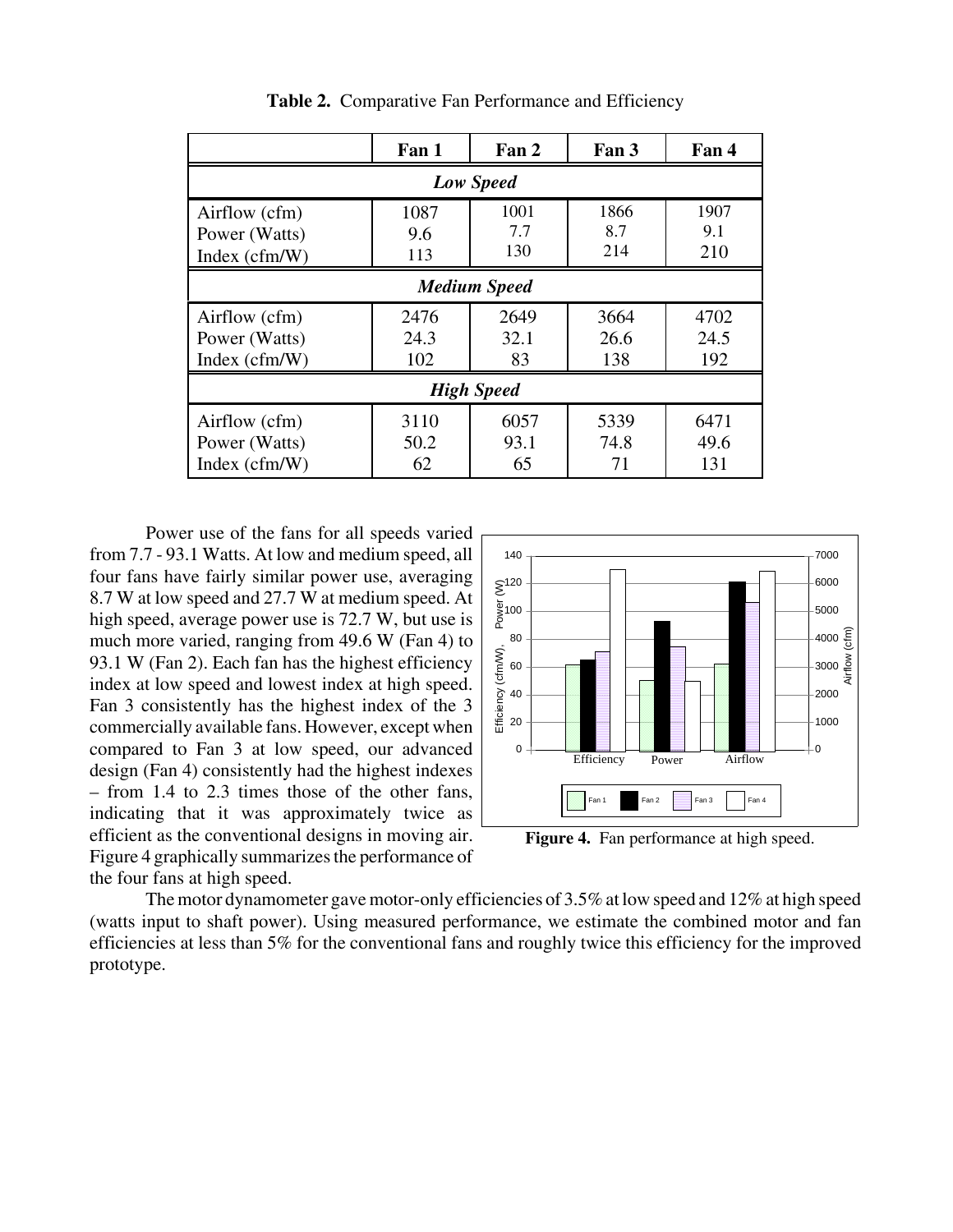|                                                   | Fan 1               | Fan 2              | Fan 3               | Fan 4               |  |
|---------------------------------------------------|---------------------|--------------------|---------------------|---------------------|--|
| <b>Low Speed</b>                                  |                     |                    |                     |                     |  |
| Airflow (cfm)<br>Power (Watts)<br>Index $(cfm/W)$ | 1087<br>9.6<br>113  | 1001<br>7.7<br>130 | 1866<br>8.7<br>214  | 1907<br>9.1<br>210  |  |
| <b>Medium Speed</b>                               |                     |                    |                     |                     |  |
| Airflow (cfm)<br>Power (Watts)<br>Index $(cfm/W)$ | 2476<br>24.3<br>102 | 2649<br>32.1<br>83 | 3664<br>26.6<br>138 | 4702<br>24.5<br>192 |  |
| <b>High Speed</b>                                 |                     |                    |                     |                     |  |
| Airflow (cfm)<br>Power (Watts)<br>Index $(cfm/W)$ | 3110<br>50.2<br>62  | 6057<br>93.1<br>65 | 5339<br>74.8<br>71  | 6471<br>49.6<br>131 |  |

Table 2. Comparative Fan Performance and Efficiency

Power use of the fans for all speeds varied from 7.7 - 93.1 Watts. At low and medium speed, all four fans have fairly similar power use, averaging 8.7 W at low speed and 27.7 W at medium speed. At high speed, average power use is 72.7 W, but use is much more varied, ranging from 49.6 W (Fan 4) to 93.1 W (Fan 2). Each fan has the highest efficiency index at low speed and lowest index at high speed. Fan 3 consistently has the highest index of the 3 commercially available fans. However, except when compared to Fan 3 at low speed, our advanced design (Fan 4) consistently had the highest indexes – from 1.4 to 2.3 times those of the other fans, indicating that it was approximately twice as efficient as the conventional designs in moving air. Figure 4 graphically summarizes the performance of the four fans at high speed.



Figure 4. Fan performance at high speed.

The motor dynamometer gave motor-only efficiencies of 3.5% at low speed and 12% at high speed (watts input to shaft power). Using measured performance, we estimate the combined motor and fan efficiencies at less than 5% for the conventional fans and roughly twice this efficiency for the improved prototype.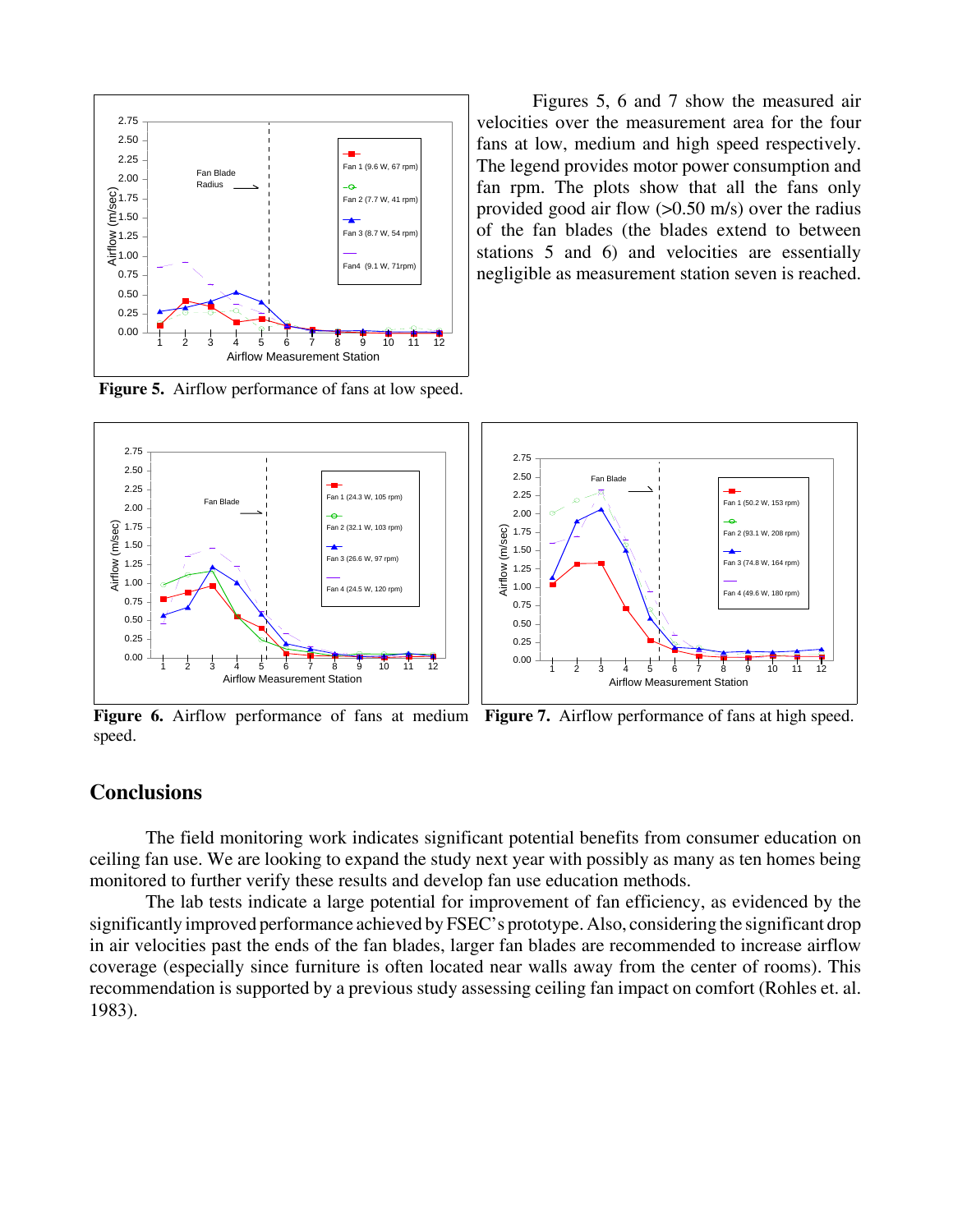

Figures 5, 6 and 7 show the measured air velocities over the measurement area for the four fans at low, medium and high speed respectively. The legend provides motor power consumption and fan rpm. The plots show that all the fans only provided good air flow (>0.50 m/s) over the radius of the fan blades (the blades extend to between stations 5 and 6) and velocities are essentially negligible as measurement station seven is reached.

**Figure 5.** Airflow performance of fans at low speed.



Figure 6. Airflow performance of fans at medium Figure 7. Airflow performance of fans at high speed. speed.

## **Conclusions**

The field monitoring work indicates significant potential benefits from consumer education on ceiling fan use. We are looking to expand the study next year with possibly as many as ten homes being monitored to further verify these results and develop fan use education methods.

The lab tests indicate a large potential for improvement of fan efficiency, as evidenced by the significantly improved performance achieved by FSEC's prototype. Also, considering the significant drop in air velocities past the ends of the fan blades, larger fan blades are recommended to increase airflow coverage (especially since furniture is often located near walls away from the center of rooms). This recommendation is supported by a previous study assessing ceiling fan impact on comfort (Rohles et. al. 1983).